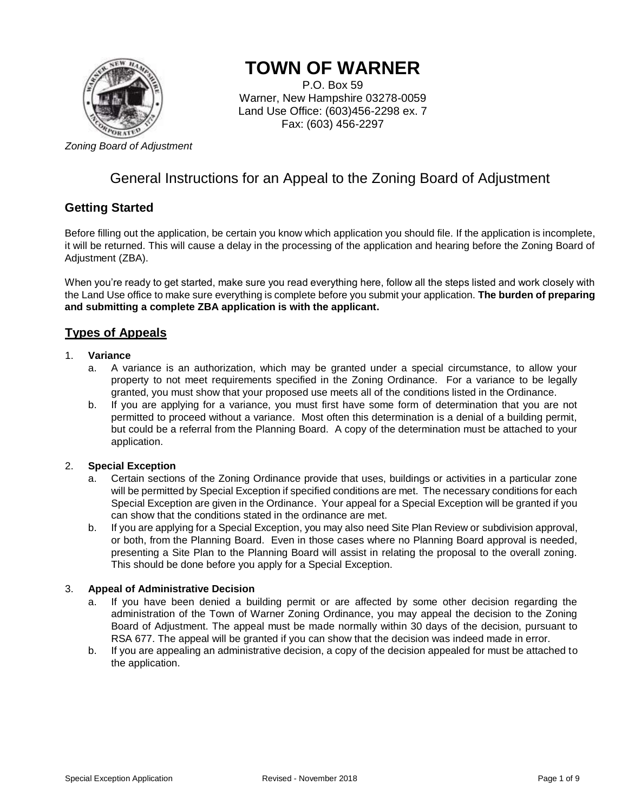

# **TOWN OF WARNER**

P.O. Box 59 Warner, New Hampshire 03278-0059 Land Use Office: (603)456-2298 ex. 7 Fax: (603) 456-2297

# General Instructions for an Appeal to the Zoning Board of Adjustment

# **Getting Started**

Before filling out the application, be certain you know which application you should file. If the application is incomplete, it will be returned. This will cause a delay in the processing of the application and hearing before the Zoning Board of Adjustment (ZBA).

When you're ready to get started, make sure you read everything here, follow all the steps listed and work closely with the Land Use office to make sure everything is complete before you submit your application. **The burden of preparing and submitting a complete ZBA application is with the applicant.** 

# **Types of Appeals**

#### 1. **Variance**

- a. A variance is an authorization, which may be granted under a special circumstance, to allow your property to not meet requirements specified in the Zoning Ordinance. For a variance to be legally granted, you must show that your proposed use meets all of the conditions listed in the Ordinance.
- b. If you are applying for a variance, you must first have some form of determination that you are not permitted to proceed without a variance. Most often this determination is a denial of a building permit, but could be a referral from the Planning Board. A copy of the determination must be attached to your application.

### 2. **Special Exception**

- a. Certain sections of the Zoning Ordinance provide that uses, buildings or activities in a particular zone will be permitted by Special Exception if specified conditions are met. The necessary conditions for each Special Exception are given in the Ordinance. Your appeal for a Special Exception will be granted if you can show that the conditions stated in the ordinance are met.
- b. If you are applying for a Special Exception, you may also need Site Plan Review or subdivision approval, or both, from the Planning Board. Even in those cases where no Planning Board approval is needed, presenting a Site Plan to the Planning Board will assist in relating the proposal to the overall zoning. This should be done before you apply for a Special Exception.

### 3. **Appeal of Administrative Decision**

- a. If you have been denied a building permit or are affected by some other decision regarding the administration of the Town of Warner Zoning Ordinance, you may appeal the decision to the Zoning Board of Adjustment. The appeal must be made normally within 30 days of the decision, pursuant to RSA 677. The appeal will be granted if you can show that the decision was indeed made in error.
- b. If you are appealing an administrative decision, a copy of the decision appealed for must be attached to the application.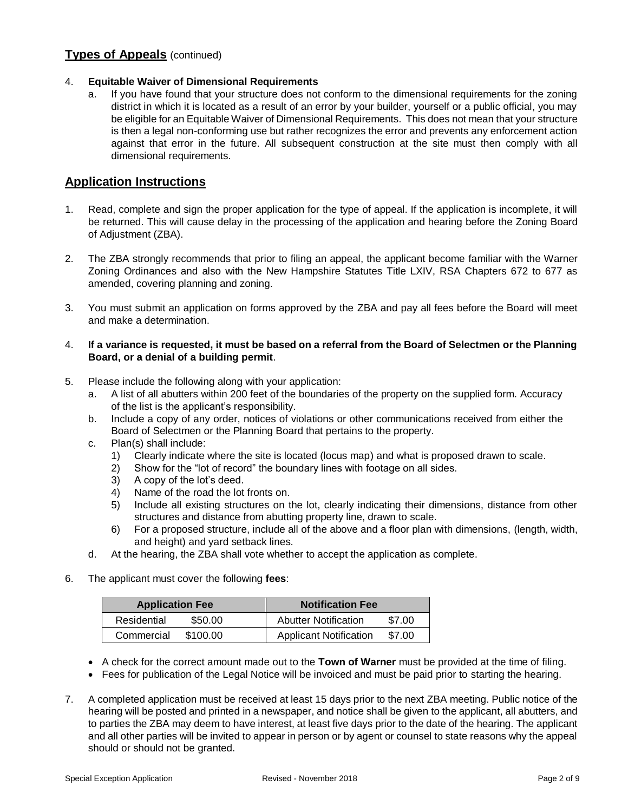# **Types of Appeals** (continued)

### 4. **Equitable Waiver of Dimensional Requirements**

a. If you have found that your structure does not conform to the dimensional requirements for the zoning district in which it is located as a result of an error by your builder, yourself or a public official, you may be eligible for an Equitable Waiver of Dimensional Requirements. This does not mean that your structure is then a legal non-conforming use but rather recognizes the error and prevents any enforcement action against that error in the future. All subsequent construction at the site must then comply with all dimensional requirements.

## **Application Instructions**

- 1. Read, complete and sign the proper application for the type of appeal. If the application is incomplete, it will be returned. This will cause delay in the processing of the application and hearing before the Zoning Board of Adjustment (ZBA).
- 2. The ZBA strongly recommends that prior to filing an appeal, the applicant become familiar with the Warner Zoning Ordinances and also with the New Hampshire Statutes Title LXIV, RSA Chapters 672 to 677 as amended, covering planning and zoning.
- 3. You must submit an application on forms approved by the ZBA and pay all fees before the Board will meet and make a determination.

#### 4. **If a variance is requested, it must be based on a referral from the Board of Selectmen or the Planning Board, or a denial of a building permit**.

- 5. Please include the following along with your application:
	- a. A list of all abutters within 200 feet of the boundaries of the property on the supplied form. Accuracy of the list is the applicant's responsibility.
	- b. Include a copy of any order, notices of violations or other communications received from either the Board of Selectmen or the Planning Board that pertains to the property.
	- c. Plan(s) shall include:
		- 1) Clearly indicate where the site is located (locus map) and what is proposed drawn to scale.
		- 2) Show for the "lot of record" the boundary lines with footage on all sides.
		- 3) A copy of the lot's deed.
		- 4) Name of the road the lot fronts on.
		- 5) Include all existing structures on the lot, clearly indicating their dimensions, distance from other structures and distance from abutting property line, drawn to scale.
		- 6) For a proposed structure, include all of the above and a floor plan with dimensions, (length, width, and height) and yard setback lines.
	- d. At the hearing, the ZBA shall vote whether to accept the application as complete.
- 6. The applicant must cover the following **fees**:

| <b>Application Fee</b> |          | <b>Notification Fee</b>       |        |  |
|------------------------|----------|-------------------------------|--------|--|
| Residential            | \$50.00  | <b>Abutter Notification</b>   | \$7.00 |  |
| Commercial             | \$100.00 | <b>Applicant Notification</b> | \$7.00 |  |

- A check for the correct amount made out to the **Town of Warner** must be provided at the time of filing.
- Fees for publication of the Legal Notice will be invoiced and must be paid prior to starting the hearing.
- 7. A completed application must be received at least 15 days prior to the next ZBA meeting. Public notice of the hearing will be posted and printed in a newspaper, and notice shall be given to the applicant, all abutters, and to parties the ZBA may deem to have interest, at least five days prior to the date of the hearing. The applicant and all other parties will be invited to appear in person or by agent or counsel to state reasons why the appeal should or should not be granted.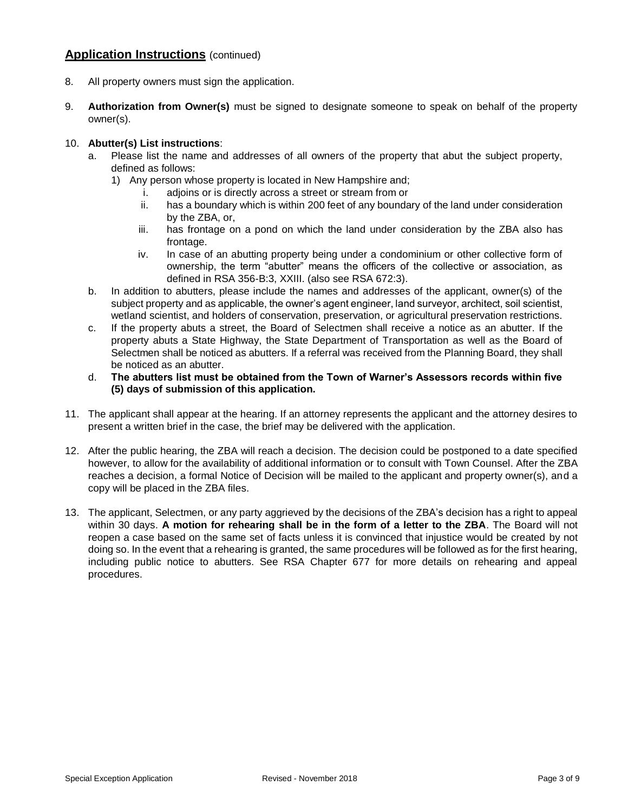# **Application Instructions** (continued)

- 8. All property owners must sign the application.
- 9. **Authorization from Owner(s)** must be signed to designate someone to speak on behalf of the property owner(s).

### 10. **Abutter(s) List instructions**:

- a. Please list the name and addresses of all owners of the property that abut the subject property, defined as follows:
	- 1) Any person whose property is located in New Hampshire and;
		- i. adjoins or is directly across a street or stream from or
		- ii. has a boundary which is within 200 feet of any boundary of the land under consideration by the ZBA, or,
		- iii. has frontage on a pond on which the land under consideration by the ZBA also has frontage.
		- iv. In case of an abutting property being under a condominium or other collective form of ownership, the term "abutter" means the officers of the collective or association, as defined in RSA 356-B:3, XXIII. (also see RSA 672:3).
- b. In addition to abutters, please include the names and addresses of the applicant, owner(s) of the subject property and as applicable, the owner's agent engineer, land surveyor, architect, soil scientist, wetland scientist, and holders of conservation, preservation, or agricultural preservation restrictions.
- c. If the property abuts a street, the Board of Selectmen shall receive a notice as an abutter. If the property abuts a State Highway, the State Department of Transportation as well as the Board of Selectmen shall be noticed as abutters. If a referral was received from the Planning Board, they shall be noticed as an abutter.
- d. **The abutters list must be obtained from the Town of Warner's Assessors records within five (5) days of submission of this application.**
- 11. The applicant shall appear at the hearing. If an attorney represents the applicant and the attorney desires to present a written brief in the case, the brief may be delivered with the application.
- 12. After the public hearing, the ZBA will reach a decision. The decision could be postponed to a date specified however, to allow for the availability of additional information or to consult with Town Counsel. After the ZBA reaches a decision, a formal Notice of Decision will be mailed to the applicant and property owner(s), and a copy will be placed in the ZBA files.
- 13. The applicant, Selectmen, or any party aggrieved by the decisions of the ZBA's decision has a right to appeal within 30 days. **A motion for rehearing shall be in the form of a letter to the ZBA**. The Board will not reopen a case based on the same set of facts unless it is convinced that injustice would be created by not doing so. In the event that a rehearing is granted, the same procedures will be followed as for the first hearing, including public notice to abutters. See RSA Chapter 677 for more details on rehearing and appeal procedures.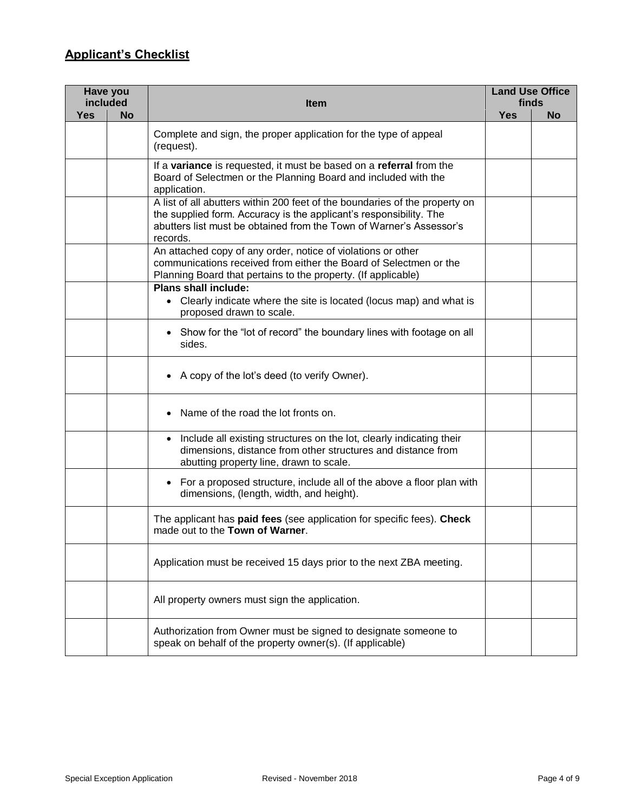# **Applicant's Checklist**

| Have you<br>included |                                                                                                                                                                                                                                      | <b>Item</b>                                                                                                                                                                                        | <b>Land Use Office</b><br>finds |           |  |
|----------------------|--------------------------------------------------------------------------------------------------------------------------------------------------------------------------------------------------------------------------------------|----------------------------------------------------------------------------------------------------------------------------------------------------------------------------------------------------|---------------------------------|-----------|--|
| <b>Yes</b>           | <b>No</b>                                                                                                                                                                                                                            |                                                                                                                                                                                                    | <b>Yes</b>                      | <b>No</b> |  |
|                      |                                                                                                                                                                                                                                      | Complete and sign, the proper application for the type of appeal<br>(request).                                                                                                                     |                                 |           |  |
|                      |                                                                                                                                                                                                                                      | If a variance is requested, it must be based on a referral from the<br>Board of Selectmen or the Planning Board and included with the<br>application.                                              |                                 |           |  |
|                      | A list of all abutters within 200 feet of the boundaries of the property on<br>the supplied form. Accuracy is the applicant's responsibility. The<br>abutters list must be obtained from the Town of Warner's Assessor's<br>records. |                                                                                                                                                                                                    |                                 |           |  |
|                      |                                                                                                                                                                                                                                      | An attached copy of any order, notice of violations or other<br>communications received from either the Board of Selectmen or the<br>Planning Board that pertains to the property. (If applicable) |                                 |           |  |
|                      |                                                                                                                                                                                                                                      | <b>Plans shall include:</b><br>• Clearly indicate where the site is located (locus map) and what is<br>proposed drawn to scale.                                                                    |                                 |           |  |
|                      |                                                                                                                                                                                                                                      | • Show for the "lot of record" the boundary lines with footage on all<br>sides.                                                                                                                    |                                 |           |  |
|                      |                                                                                                                                                                                                                                      | • A copy of the lot's deed (to verify Owner).                                                                                                                                                      |                                 |           |  |
|                      |                                                                                                                                                                                                                                      | Name of the road the lot fronts on.                                                                                                                                                                |                                 |           |  |
|                      |                                                                                                                                                                                                                                      | • Include all existing structures on the lot, clearly indicating their<br>dimensions, distance from other structures and distance from<br>abutting property line, drawn to scale.                  |                                 |           |  |
|                      |                                                                                                                                                                                                                                      | For a proposed structure, include all of the above a floor plan with<br>$\bullet$<br>dimensions, (length, width, and height).                                                                      |                                 |           |  |
|                      |                                                                                                                                                                                                                                      | The applicant has paid fees (see application for specific fees). Check<br>made out to the Town of Warner.                                                                                          |                                 |           |  |
|                      |                                                                                                                                                                                                                                      | Application must be received 15 days prior to the next ZBA meeting.                                                                                                                                |                                 |           |  |
|                      |                                                                                                                                                                                                                                      | All property owners must sign the application.                                                                                                                                                     |                                 |           |  |
|                      |                                                                                                                                                                                                                                      | Authorization from Owner must be signed to designate someone to<br>speak on behalf of the property owner(s). (If applicable)                                                                       |                                 |           |  |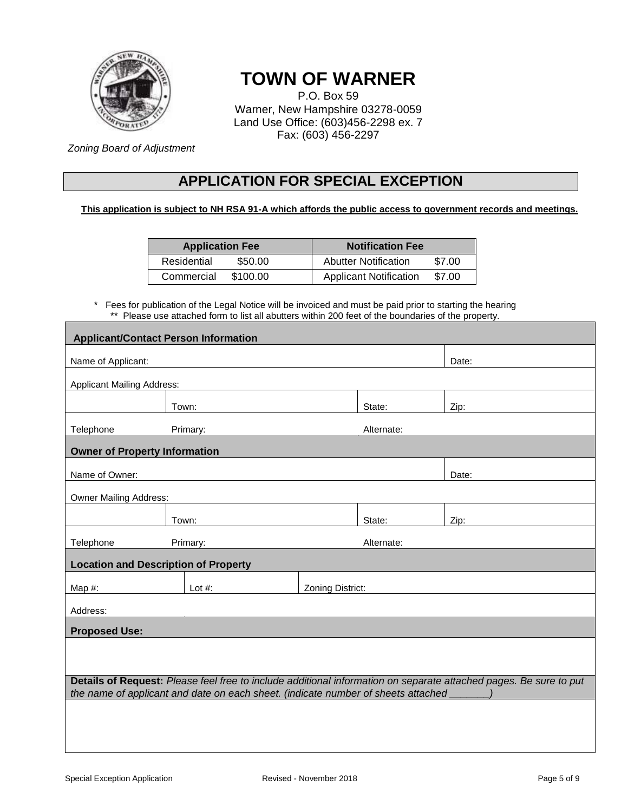

# **TOWN OF WARNER**

P.O. Box 59 Warner, New Hampshire 03278-0059 Land Use Office: (603)456-2298 ex. 7 Fax: (603) 456-2297

*Zoning Board of Adjustment*

# **APPLICATION FOR SPECIAL EXCEPTION**

## **This application is subject to NH RSA 91-A which affords the public access to government records and meetings.**

| <b>Application Fee</b> |          | <b>Notification Fee</b>       |        |  |
|------------------------|----------|-------------------------------|--------|--|
| Residential            | \$50.00  | <b>Abutter Notification</b>   | \$7.00 |  |
| Commercial             | \$100.00 | <b>Applicant Notification</b> | \$7.00 |  |

\* Fees for publication of the Legal Notice will be invoiced and must be paid prior to starting the hearing \*\* Please use attached form to list all abutters within 200 feet of the boundaries of the property.

| <b>Applicant/Contact Person Information</b>                                                                                                                                                            |  |           |                  |            |       |
|--------------------------------------------------------------------------------------------------------------------------------------------------------------------------------------------------------|--|-----------|------------------|------------|-------|
|                                                                                                                                                                                                        |  |           |                  |            |       |
| Name of Applicant:                                                                                                                                                                                     |  |           |                  | Date:      |       |
| <b>Applicant Mailing Address:</b>                                                                                                                                                                      |  |           |                  |            |       |
|                                                                                                                                                                                                        |  | Town:     |                  | State:     | Zip:  |
| Telephone                                                                                                                                                                                              |  | Primary:  |                  | Alternate: |       |
| <b>Owner of Property Information</b>                                                                                                                                                                   |  |           |                  |            |       |
|                                                                                                                                                                                                        |  |           |                  |            |       |
| Name of Owner:                                                                                                                                                                                         |  |           |                  |            | Date: |
| <b>Owner Mailing Address:</b>                                                                                                                                                                          |  |           |                  |            |       |
|                                                                                                                                                                                                        |  | Town:     |                  | State:     | Zip:  |
|                                                                                                                                                                                                        |  |           |                  |            |       |
| Telephone                                                                                                                                                                                              |  | Primary:  |                  | Alternate: |       |
| <b>Location and Description of Property</b>                                                                                                                                                            |  |           |                  |            |       |
| Map $#$ :                                                                                                                                                                                              |  | Lot $#$ : | Zoning District: |            |       |
| Address:                                                                                                                                                                                               |  |           |                  |            |       |
| <b>Proposed Use:</b>                                                                                                                                                                                   |  |           |                  |            |       |
|                                                                                                                                                                                                        |  |           |                  |            |       |
|                                                                                                                                                                                                        |  |           |                  |            |       |
|                                                                                                                                                                                                        |  |           |                  |            |       |
| Details of Request: Please feel free to include additional information on separate attached pages. Be sure to put<br>the name of applicant and date on each sheet. (indicate number of sheets attached |  |           |                  |            |       |
|                                                                                                                                                                                                        |  |           |                  |            |       |
|                                                                                                                                                                                                        |  |           |                  |            |       |
|                                                                                                                                                                                                        |  |           |                  |            |       |
|                                                                                                                                                                                                        |  |           |                  |            |       |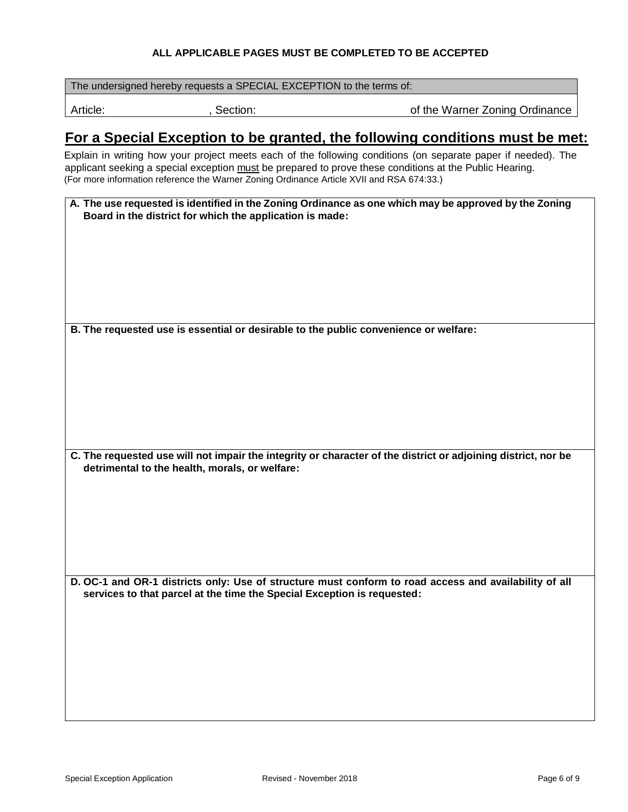### **ALL APPLICABLE PAGES MUST BE COMPLETED TO BE ACCEPTED**

The undersigned hereby requests a SPECIAL EXCEPTION to the terms of:

Article: **Example 2018**, Section: **Container Section: of the Warner Zoning Ordinance** 

# **For a Special Exception to be granted, the following conditions must be met:**

Explain in writing how your project meets each of the following conditions (on separate paper if needed). The applicant seeking a special exception must be prepared to prove these conditions at the Public Hearing. (For more information reference the Warner Zoning Ordinance Article XVII and RSA 674:33.)

| A. The use requested is identified in the Zoning Ordinance as one which may be approved by the Zoning |
|-------------------------------------------------------------------------------------------------------|
| Board in the district for which the application is made:                                              |

**B. The requested use is essential or desirable to the public convenience or welfare:**

**C. The requested use will not impair the integrity or character of the district or adjoining district, nor be detrimental to the health, morals, or welfare:**

**D. OC-1 and OR-1 districts only: Use of structure must conform to road access and availability of all services to that parcel at the time the Special Exception is requested:**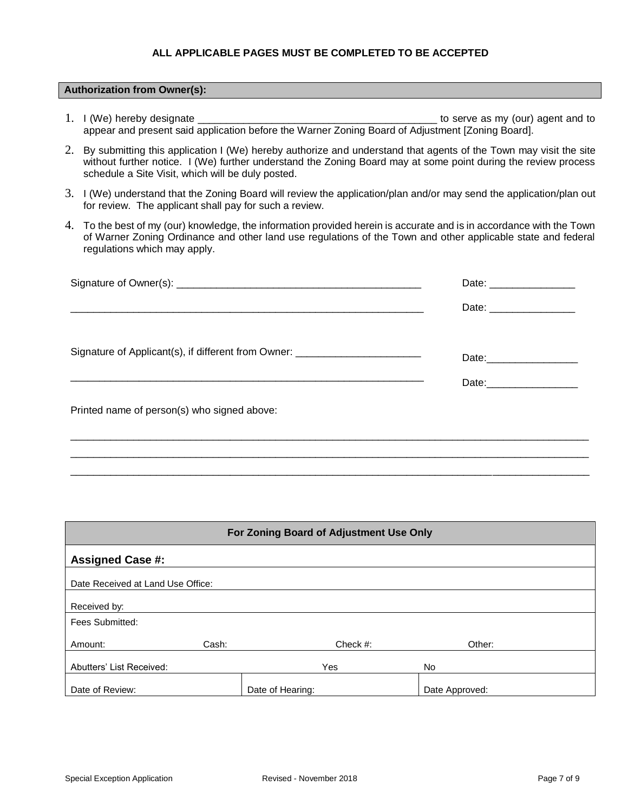### **ALL APPLICABLE PAGES MUST BE COMPLETED TO BE ACCEPTED**

#### **Authorization from Owner(s):**

- 1. I (We) hereby designate the server as my (our) agent and to appear and present said application before the Warner Zoning Board of Adjustment [Zoning Board].
- 2. By submitting this application I (We) hereby authorize and understand that agents of the Town may visit the site without further notice. I (We) further understand the Zoning Board may at some point during the review process schedule a Site Visit, which will be duly posted.
- 3. I (We) understand that the Zoning Board will review the application/plan and/or may send the application/plan out for review. The applicant shall pay for such a review.
- 4. To the best of my (our) knowledge, the information provided herein is accurate and is in accordance with the Town of Warner Zoning Ordinance and other land use regulations of the Town and other applicable state and federal regulations which may apply.

| Date: ___________________     |  |
|-------------------------------|--|
| Date: _______________________ |  |
|                               |  |
|                               |  |
|                               |  |

\_\_\_\_\_\_\_\_\_\_\_\_\_\_\_\_\_\_\_\_\_\_\_\_\_\_\_\_\_\_\_\_\_\_\_\_\_\_\_\_\_\_\_\_\_\_\_\_\_\_\_\_\_\_\_\_\_\_\_\_\_\_\_\_\_\_\_\_\_\_\_\_\_\_\_\_\_\_\_\_\_\_\_\_\_\_\_\_\_\_\_ \_\_\_\_\_\_\_\_\_\_\_\_\_\_\_\_\_\_\_\_\_\_\_\_\_\_\_\_\_\_\_\_\_\_\_\_\_\_\_\_\_\_\_\_\_\_\_\_\_\_\_\_\_\_\_\_\_\_\_\_\_\_\_\_\_\_\_\_\_\_\_\_\_\_\_\_\_\_\_\_\_\_\_\_\_\_\_\_\_\_\_

| For Zoning Board of Adjustment Use Only |                                   |                  |                |  |  |
|-----------------------------------------|-----------------------------------|------------------|----------------|--|--|
| <b>Assigned Case #:</b>                 |                                   |                  |                |  |  |
|                                         | Date Received at Land Use Office: |                  |                |  |  |
| Received by:                            |                                   |                  |                |  |  |
| Fees Submitted:                         |                                   |                  |                |  |  |
| Amount:                                 | Cash:                             | Check $#$ :      | Other:         |  |  |
| Abutters' List Received:                |                                   | Yes              | No.            |  |  |
| Date of Review:                         |                                   | Date of Hearing: | Date Approved: |  |  |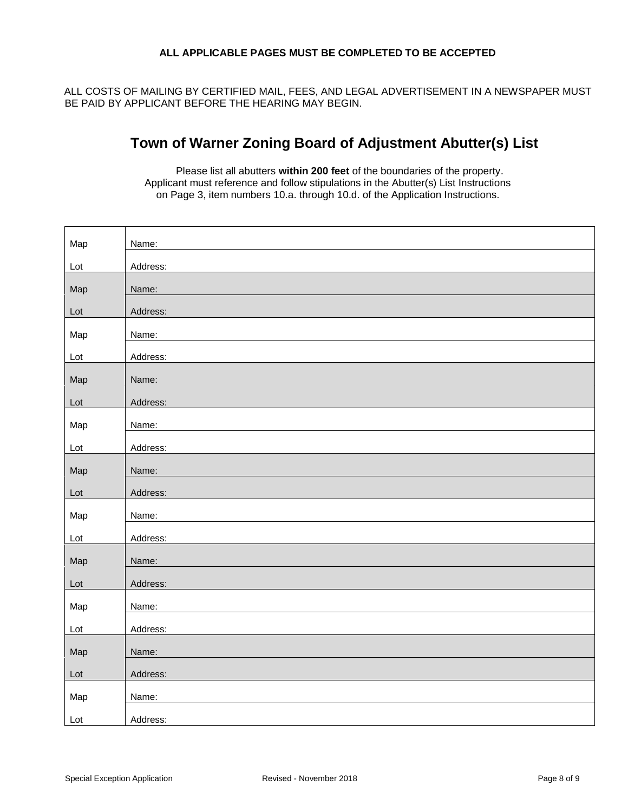### **ALL APPLICABLE PAGES MUST BE COMPLETED TO BE ACCEPTED**

ALL COSTS OF MAILING BY CERTIFIED MAIL, FEES, AND LEGAL ADVERTISEMENT IN A NEWSPAPER MUST BE PAID BY APPLICANT BEFORE THE HEARING MAY BEGIN.

# **Town of Warner Zoning Board of Adjustment Abutter(s) List**

Please list all abutters **within 200 feet** of the boundaries of the property. Applicant must reference and follow stipulations in the Abutter(s) List Instructions on Page 3, item numbers 10.a. through 10.d. of the Application Instructions.

| Address:<br>Lot |  |
|-----------------|--|
|                 |  |
| Map<br>Name:    |  |
| Address:<br>Lot |  |
| Map<br>Name:    |  |
| Address:<br>Lot |  |
| Map<br>Name:    |  |
| Address:<br>Lot |  |
|                 |  |
| Map<br>Name:    |  |
| Address:<br>Lot |  |
| Map<br>Name:    |  |
| Address:<br>Lot |  |
| Map<br>Name:    |  |
| Address:<br>Lot |  |
| Map<br>Name:    |  |
| Address:<br>Lot |  |
| Map<br>Name:    |  |
| Address:<br>Lot |  |
| Map<br>Name:    |  |
| Address:<br>Lot |  |
| Map<br>Name:    |  |
| Address:<br>Lot |  |